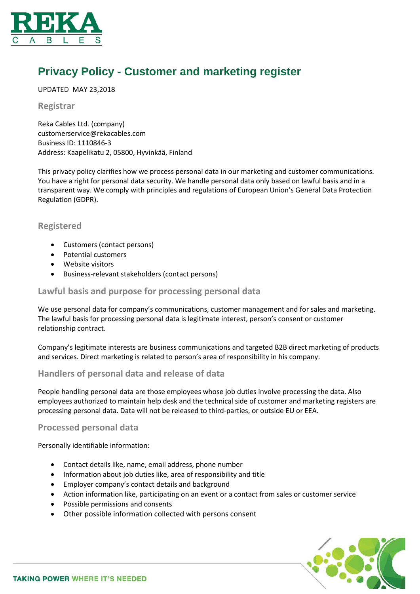

# **Privacy Policy - Customer and marketing register**

UPDATED MAY 23,2018

## **Registrar**

Reka Cables Ltd. (company) customerservice@rekacables.com Business ID: 1110846-3 Address: Kaapelikatu 2, 05800, Hyvinkää, Finland

This privacy policy clarifies how we process personal data in our marketing and customer communications. You have a right for personal data security. We handle personal data only based on lawful basis and in a transparent way. We comply with principles and regulations of European Union's General Data Protection Regulation (GDPR).

# **Registered**

- Customers (contact persons)
- Potential customers
- Website visitors
- Business-relevant stakeholders (contact persons)

# **Lawful basis and purpose for processing personal data**

We use personal data for company's communications, customer management and for sales and marketing. The lawful basis for processing personal data is legitimate interest, person's consent or customer relationship contract.

Company's legitimate interests are business communications and targeted B2B direct marketing of products and services. Direct marketing is related to person's area of responsibility in his company.

# **Handlers of personal data and release of data**

People handling personal data are those employees whose job duties involve processing the data. Also employees authorized to maintain help desk and the technical side of customer and marketing registers are processing personal data. Data will not be released to third-parties, or outside EU or EEA.

## **Processed personal data**

Personally identifiable information:

- Contact details like, name, email address, phone number
- Information about job duties like, area of responsibility and title
- Employer company's contact details and background
- Action information like, participating on an event or a contact from sales or customer service
- Possible permissions and consents
- Other possible information collected with persons consent

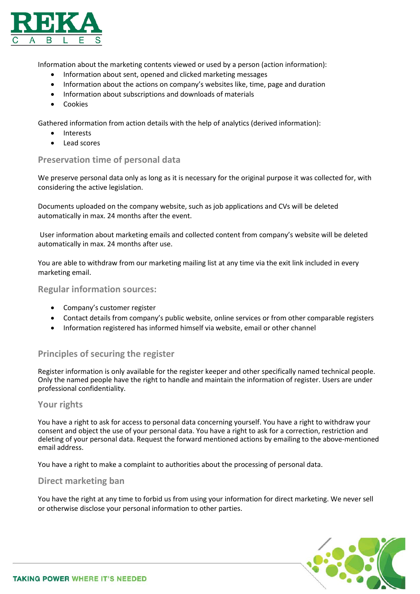

Information about the marketing contents viewed or used by a person (action information):

- Information about sent, opened and clicked marketing messages
- Information about the actions on company's websites like, time, page and duration
- Information about subscriptions and downloads of materials
- Cookies

Gathered information from action details with the help of analytics (derived information):

- Interests
- Lead scores

## **Preservation time of personal data**

We preserve personal data only as long as it is necessary for the original purpose it was collected for, with considering the active legislation.

Documents uploaded on the company website, such as job applications and CVs will be deleted automatically in max. 24 months after the event.

User information about marketing emails and collected content from company's website will be deleted automatically in max. 24 months after use.

You are able to withdraw from our marketing mailing list at any time via the exit link included in every marketing email.

#### **Regular information sources:**

- Company's customer register
- Contact details from company's public website, online services or from other comparable registers
- Information registered has informed himself via website, email or other channel

# **Principles of securing the register**

Register information is only available for the register keeper and other specifically named technical people. Only the named people have the right to handle and maintain the information of register. Users are under professional confidentiality.

## **Your rights**

You have a right to ask for access to personal data concerning yourself. You have a right to withdraw your consent and object the use of your personal data. You have a right to ask for a correction, restriction and deleting of your personal data. Request the forward mentioned actions by emailing to the above-mentioned email address.

You have a right to make a complaint to authorities about the processing of personal data.

## **Direct marketing ban**

You have the right at any time to forbid us from using your information for direct marketing. We never sell or otherwise disclose your personal information to other parties.